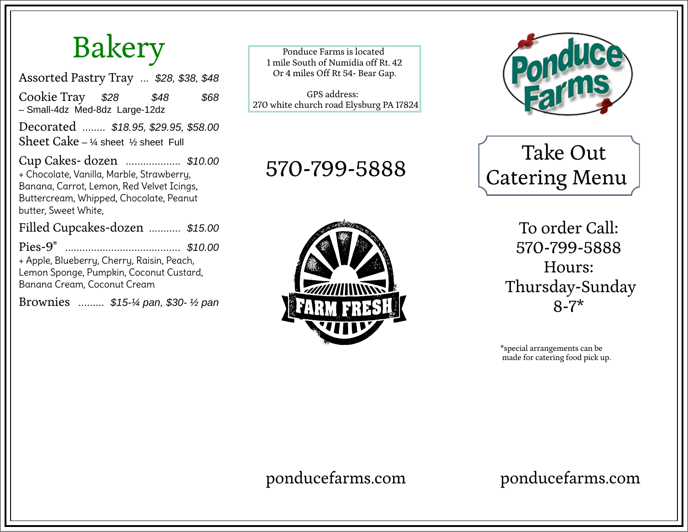## Bakery

Assorted Pastry Tray *... \$28, \$38, \$48*

Cookie Tray *\$28 \$48 \$68* – Small-4dz Med-8dz Large-12dz

Decorated *........ \$18.95, \$29.95, \$58.00* Sheet Cake –  $\frac{1}{4}$  sheet  $\frac{1}{2}$  sheet Full

Cup Cakes- dozen *................... \$10.00* + Chocolate, Vanilla, Marble, Strawberry, Banana, Carrot, Lemon, Red Velvet Icings, Buttercream, Whipped, Chocolate, Peanut butter, Sweet White,

Filled Cupcakes-dozen *........... \$15.00*

Pies-9" *........................................ \$10.00* + Apple, Blueberry, Cherry, Raisin, Peach, Lemon Sponge, Pumpkin, Coconut Custard, Banana Cream, Coconut Cream

Brownies *......... \$15-¼ pan, \$30- ½ pan*

Ponduce Farms is located 1 mile South of Numidia off Rt. 42 Or 4 miles Off Rt 54- Bear Gap.

GPS address: 270 white church road Elysburg PA 17824

#### 570-799-5888





#### Take Out Catering Menu

To order Call: 570-799-5888 Hours: Thursday-Sunday 8-7\*

\*special arrangements can be made for catering food pick up.

ponducefarms.com

ponducefarms.com